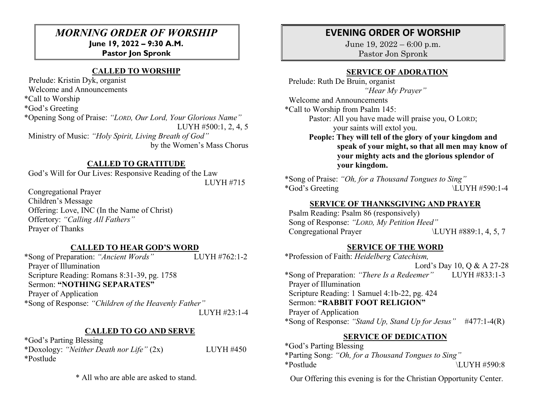# *MORNING ORDER OF WORSHIP* **June 19, 2022 – 9:30 A.M.**

# **Pastor Jon Spronk**

#### **CALLED TO WORSHIP**

 Prelude: Kristin Dyk, organist Welcome and Announcements \*Call to Worship \*God's Greeting \*Opening Song of Praise: *"LORD, Our Lord, Your Glorious Name"* LUYH #500:1, 2, 4, 5 Ministry of Music: *"Holy Spirit, Living Breath of God"* by the Women's Mass Chorus

#### **CALLED TO GRATITUDE**

God's Will for Our Lives: Responsive Reading of the Law

LUYH #715

 Congregational Prayer Children's Message Offering: Love, INC (In the Name of Christ) Offertory: *"Calling All Fathers"* Prayer of Thanks

#### **CALLED TO HEAR GOD'S WORD**

\*Song of Preparation: *"Ancient Words"* LUYH #762:1-2 Prayer of Illumination Scripture Reading: Romans 8:31-39, pg. 1758 Sermon: **"NOTHING SEPARATES"** Prayer of Application \*Song of Response: *"Children of the Heavenly Father"* LUYH #23:1-4

#### **CALLED TO GO AND SERVE**

\*God's Parting Blessing \*Doxology: *"Neither Death nor Life"* (2x) LUYH #450 \*Postlude

\* All who are able are asked to stand.

# **EVENING ORDER OF WORSHIP**

June 19, 2022 – 6:00 p.m. Pastor Jon Spronk

#### **SERVICE OF ADORATION**

 Prelude: Ruth De Bruin, organist *"Hear My Prayer"*

 Welcome and Announcements \*Call to Worship from Psalm 145: Pastor: All you have made will praise you, O LORD; your saints will extol you.

**People: They will tell of the glory of your kingdom and speak of your might, so that all men may know of your mighty acts and the glorious splendor of your kingdom.**

\*Song of Praise: *"Oh, for a Thousand Tongues to Sing"*   $*God's Greeting \qquad \qquad \text{LUYH #590:1-4}$ 

#### **SERVICE OF THANKSGIVING AND PRAYER**

 Psalm Reading: Psalm 86 (responsively) Song of Response: *"LORD, My Petition Heed"* Congregational Prayer \LUYH #889:1, 4, 5, 7

#### **SERVICE OF THE WORD**

\*Profession of Faith: *Heidelberg Catechism,*  Lord's Day 10, Q & A 27-28 \*Song of Preparation: *"There Is a Redeemer"* LUYH #833:1-3 Prayer of Illumination Scripture Reading: 1 Samuel 4:1b-22, pg. 424 Sermon: **"RABBIT FOOT RELIGION"**  Prayer of Application \*Song of Response: *"Stand Up, Stand Up for Jesus"* #477:1-4(R)

#### **SERVICE OF DEDICATION**

\*God's Parting Blessing \*Parting Song: *"Oh, for a Thousand Tongues to Sing"*   $*Postlude$   $\text{ULIVH #590:8}$ 

Our Offering this evening is for the Christian Opportunity Center.